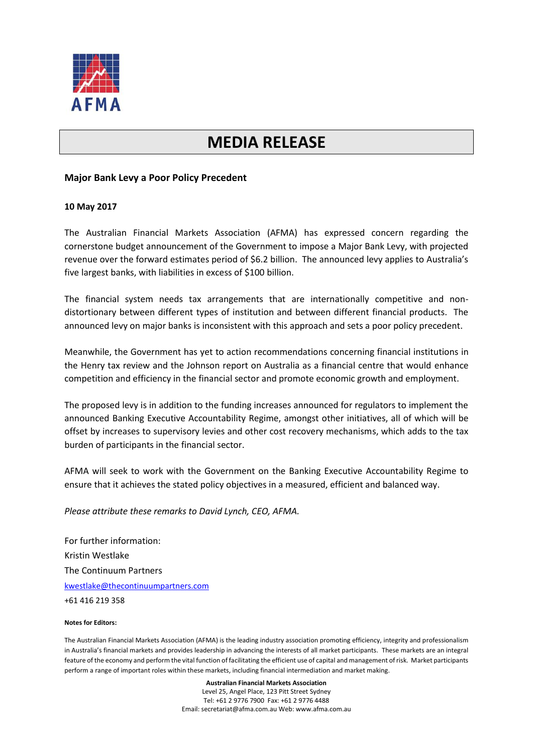

## **MEDIA RELEASE**

## **Major Bank Levy a Poor Policy Precedent**

## **10 May 2017**

The Australian Financial Markets Association (AFMA) has expressed concern regarding the cornerstone budget announcement of the Government to impose a Major Bank Levy, with projected revenue over the forward estimates period of \$6.2 billion. The announced levy applies to Australia's five largest banks, with liabilities in excess of \$100 billion.

The financial system needs tax arrangements that are internationally competitive and nondistortionary between different types of institution and between different financial products. The announced levy on major banks is inconsistent with this approach and sets a poor policy precedent.

Meanwhile, the Government has yet to action recommendations concerning financial institutions in the Henry tax review and the Johnson report on Australia as a financial centre that would enhance competition and efficiency in the financial sector and promote economic growth and employment.

The proposed levy is in addition to the funding increases announced for regulators to implement the announced Banking Executive Accountability Regime, amongst other initiatives, all of which will be offset by increases to supervisory levies and other cost recovery mechanisms, which adds to the tax burden of participants in the financial sector.

AFMA will seek to work with the Government on the Banking Executive Accountability Regime to ensure that it achieves the stated policy objectives in a measured, efficient and balanced way.

*Please attribute these remarks to David Lynch, CEO, AFMA.*

For further information: Kristin Westlake The Continuum Partners [kwestlake@thecontinuumpartners.com](mailto:kwestlake@thecontinuumpartners.com) +61 416 219 358

## **Notes for Editors:**

The Australian Financial Markets Association (AFMA) is the leading industry association promoting efficiency, integrity and professionalism in Australia's financial markets and provides leadership in advancing the interests of all market participants. These markets are an integral feature of the economy and perform the vital function of facilitating the efficient use of capital and management of risk. Market participants perform a range of important roles within these markets, including financial intermediation and market making.

> **Australian Financial Markets Association** Level 25, Angel Place, 123 Pitt Street Sydney Tel: +61 2 9776 7900 Fax: +61 2 9776 4488 Email: secretariat@afma.com.au Web: www.afma.com.au